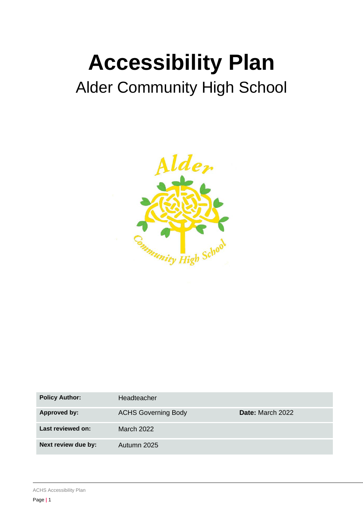# **Accessibility Plan** Alder Community High School



| <b>Policy Author:</b> | Headteacher                |                         |
|-----------------------|----------------------------|-------------------------|
| Approved by:          | <b>ACHS Governing Body</b> | <b>Date:</b> March 2022 |
| Last reviewed on:     | March 2022                 |                         |
| Next review due by:   | Autumn 2025                |                         |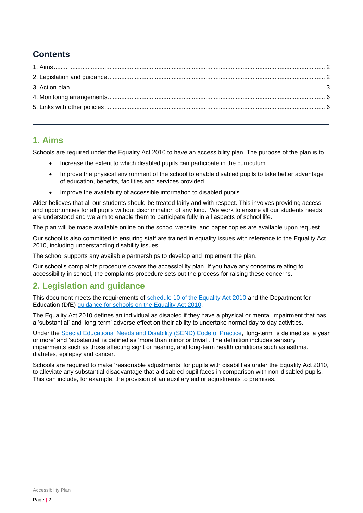## **Contents**

#### <span id="page-1-0"></span>**1. Aims**

Schools are required under the Equality Act 2010 to have an accessibility plan. The purpose of the plan is to:

- Increase the extent to which disabled pupils can participate in the curriculum
- Improve the physical environment of the school to enable disabled pupils to take better advantage of education, benefits, facilities and services provided
- Improve the availability of accessible information to disabled pupils

Alder believes that all our students should be treated fairly and with respect. This involves providing access and opportunities for all pupils without discrimination of any kind. We work to ensure all our students needs are understood and we aim to enable them to participate fully in all aspects of school life.

The plan will be made available online on the school website, and paper copies are available upon request.

Our school is also committed to ensuring staff are trained in equality issues with reference to the Equality Act 2010, including understanding disability issues.

The school supports any available partnerships to develop and implement the plan.

Our school's complaints procedure covers the accessibility plan. If you have any concerns relating to accessibility in school, the complaints procedure sets out the process for raising these concerns.

### <span id="page-1-1"></span>**2. Legislation and guidance**

This document meets the requirements of [schedule 10 of the Equality Act 2010](http://www.legislation.gov.uk/ukpga/2010/15/schedule/10) and the Department for Education (DfE) [guidance for schools on the Equality Act 2010.](https://www.gov.uk/government/publications/equality-act-2010-advice-for-schools)

The Equality Act 2010 defines an individual as disabled if they have a physical or mental impairment that has a 'substantial' and 'long-term' adverse effect on their ability to undertake normal day to day activities.

Under the [Special Educational Needs and Disability \(SEND\) Code of Practice,](https://www.gov.uk/government/publications/send-code-of-practice-0-to-25) 'long-term' is defined as 'a year or more' and 'substantial' is defined as 'more than minor or trivial'. The definition includes sensory impairments such as those affecting sight or hearing, and long-term health conditions such as asthma, diabetes, epilepsy and cancer.

Schools are required to make 'reasonable adjustments' for pupils with disabilities under the Equality Act 2010, to alleviate any substantial disadvantage that a disabled pupil faces in comparison with non-disabled pupils. This can include, for example, the provision of an auxiliary aid or adjustments to premises.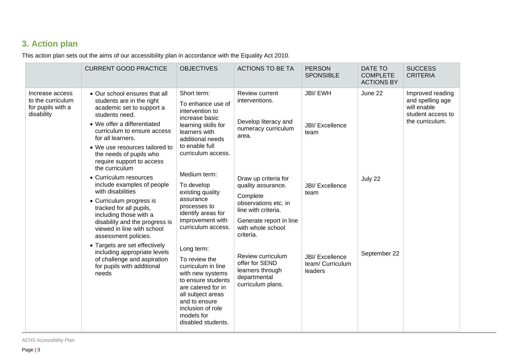## **3. Action plan**

This action plan sets out the aims of our accessibility plan in accordance with the Equality Act 2010.

<span id="page-2-0"></span>

|                                                                         | <b>CURRENT GOOD PRACTICE</b>                                                                                                                                                                                                                                                                                                                                                                                                                                                                                                                                      | <b>OBJECTIVES</b>                                                                                                                                                                                                                                                                                                        | <b>ACTIONS TO BE TA</b>                                                                      | <b>PERSON</b><br><b>SPONSIBLE</b>                                                                                                                                  | DATE TO<br><b>COMPLETE</b><br><b>ACTIONS BY</b> | <b>SUCCESS</b><br><b>CRITERIA</b>                                                           |
|-------------------------------------------------------------------------|-------------------------------------------------------------------------------------------------------------------------------------------------------------------------------------------------------------------------------------------------------------------------------------------------------------------------------------------------------------------------------------------------------------------------------------------------------------------------------------------------------------------------------------------------------------------|--------------------------------------------------------------------------------------------------------------------------------------------------------------------------------------------------------------------------------------------------------------------------------------------------------------------------|----------------------------------------------------------------------------------------------|--------------------------------------------------------------------------------------------------------------------------------------------------------------------|-------------------------------------------------|---------------------------------------------------------------------------------------------|
| Increase access<br>to the curriculum<br>for pupils with a<br>disability | • Our school ensures that all<br>students are in the right<br>academic set to support a<br>students need.<br>• We offer a differentiated<br>curriculum to ensure access<br>for all learners.<br>• We use resources tailored to<br>the needs of pupils who<br>require support to access<br>the curriculum                                                                                                                                                                                                                                                          | Short term:<br>To enhance use of<br>intervention to<br>increase basic<br>learning skills for<br>learners with<br>additional needs<br>to enable full<br>curriculum access.<br>Medium term:<br>To develop<br>existing quality<br>assurance<br>processes to<br>identify areas for<br>improvement with<br>curriculum access. | Review current<br>interventions.<br>Develop literacy and<br>numeracy curriculum<br>area.     | <b>JBI/EWH</b><br><b>JBI/ Excellence</b><br>team                                                                                                                   | June 22                                         | Improved reading<br>and spelling age<br>will enable<br>student access to<br>the curriculum. |
|                                                                         | • Curriculum resources<br>include examples of people<br>with disabilities<br>• Curriculum progress is<br>tracked for all pupils,<br>including those with a<br>disability and the progress is<br>viewed in line with school<br>assessment policies.<br>• Targets are set effectively<br>Long term:<br>including appropriate levels<br>of challenge and aspiration<br>To review the<br>for pupils with additional<br>curriculum in line<br>needs<br>with new systems<br>are catered for in<br>all subject areas<br>and to ensure<br>inclusion of role<br>models for |                                                                                                                                                                                                                                                                                                                          |                                                                                              | Draw up criteria for<br>quality assurance.<br>Complete<br>observations etc. in<br>line with criteria.<br>Generate report in line<br>with whole school<br>criteria. | <b>JBI/ Excellence</b><br>team                  | July 22                                                                                     |
|                                                                         |                                                                                                                                                                                                                                                                                                                                                                                                                                                                                                                                                                   | to ensure students<br>disabled students.                                                                                                                                                                                                                                                                                 | Review curriculum<br>offer for SEND<br>learners through<br>departmental<br>curriculum plans. | <b>JBI/ Excellence</b><br>team/ Curriculum<br>leaders                                                                                                              | September 22                                    |                                                                                             |

ACHS Accessibility Plan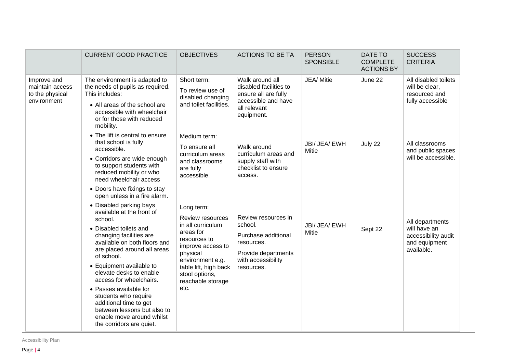|                                                                  | <b>CURRENT GOOD PRACTICE</b>                                                                                                                                                                                                                                                                                                                                                                                                                                                                                            | <b>OBJECTIVES</b>                                                                                                                                                                                             | <b>ACTIONS TO BE TA</b>                                                                                                        | <b>PERSON</b><br><b>SPONSIBLE</b> | <b>DATE TO</b><br><b>COMPLETE</b><br><b>ACTIONS BY</b> | <b>SUCCESS</b><br><b>CRITERIA</b>                                                     |
|------------------------------------------------------------------|-------------------------------------------------------------------------------------------------------------------------------------------------------------------------------------------------------------------------------------------------------------------------------------------------------------------------------------------------------------------------------------------------------------------------------------------------------------------------------------------------------------------------|---------------------------------------------------------------------------------------------------------------------------------------------------------------------------------------------------------------|--------------------------------------------------------------------------------------------------------------------------------|-----------------------------------|--------------------------------------------------------|---------------------------------------------------------------------------------------|
| Improve and<br>maintain access<br>to the physical<br>environment | The environment is adapted to<br>the needs of pupils as required.<br>This includes:<br>• All areas of the school are<br>accessible with wheelchair<br>or for those with reduced<br>mobility.<br>• The lift is central to ensure                                                                                                                                                                                                                                                                                         | Short term:<br>To review use of<br>disabled changing<br>and toilet facilities.                                                                                                                                | Walk around all<br>disabled facilities to<br>ensure all are fully<br>accessible and have<br>all relevant<br>equipment.         | JEA/ Mitie                        | June 22                                                | All disabled toilets<br>will be clear,<br>resourced and<br>fully accessible           |
|                                                                  | that school is fully<br>accessible.<br>• Corridors are wide enough<br>to support students with<br>reduced mobility or who<br>need wheelchair access                                                                                                                                                                                                                                                                                                                                                                     | Medium term:<br>To ensure all<br>curriculum areas<br>and classrooms<br>are fully<br>accessible.                                                                                                               | Walk around<br>curriculum areas and<br>supply staff with<br>checklist to ensure<br>access.                                     | JBI/ JEA/ EWH<br>Mitie            | July 22                                                | All classrooms<br>and public spaces<br>will be accessible.                            |
|                                                                  | • Doors have fixings to stay<br>open unless in a fire alarm.<br>• Disabled parking bays<br>available at the front of<br>school.<br>• Disabled toilets and<br>changing facilities are<br>available on both floors and<br>are placed around all areas<br>of school.<br>• Equipment available to<br>elevate desks to enable<br>access for wheelchairs.<br>• Passes available for<br>students who require<br>additional time to get<br>between lessons but also to<br>enable move around whilst<br>the corridors are quiet. | Long term:<br>Review resources<br>in all curriculum<br>areas for<br>resources to<br>improve access to<br>physical<br>environment e.g.<br>table lift, high back<br>stool options,<br>reachable storage<br>etc. | Review resources in<br>school.<br>Purchase additional<br>resources.<br>Provide departments<br>with accessibility<br>resources. | JBI/ JEA/ EWH<br>Mitie            | Sept 22                                                | All departments<br>will have an<br>accessibility audit<br>and equipment<br>available. |

Accessibility Plan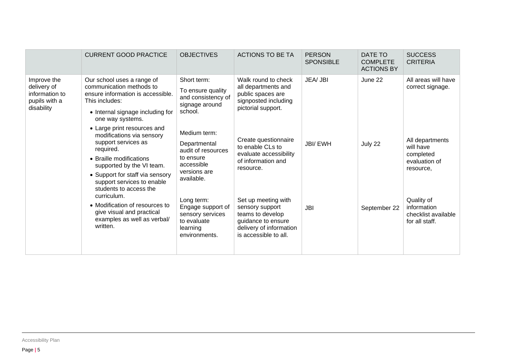|                                                                             | <b>CURRENT GOOD PRACTICE</b>                                                                                                                                                                                                                                                                                                                                             | <b>OBJECTIVES</b>                                                                                                                                                                             | <b>ACTIONS TO BE TA</b>                                                                                                                                                                                              | <b>PERSON</b><br><b>SPONSIBLE</b> | DATE TO<br><b>COMPLETE</b><br><b>ACTIONS BY</b> | <b>SUCCESS</b><br><b>CRITERIA</b>                                                                                                             |
|-----------------------------------------------------------------------------|--------------------------------------------------------------------------------------------------------------------------------------------------------------------------------------------------------------------------------------------------------------------------------------------------------------------------------------------------------------------------|-----------------------------------------------------------------------------------------------------------------------------------------------------------------------------------------------|----------------------------------------------------------------------------------------------------------------------------------------------------------------------------------------------------------------------|-----------------------------------|-------------------------------------------------|-----------------------------------------------------------------------------------------------------------------------------------------------|
| Improve the<br>delivery of<br>information to<br>pupils with a<br>disability | Our school uses a range of<br>communication methods to<br>ensure information is accessible.<br>This includes:<br>• Internal signage including for<br>one way systems.                                                                                                                                                                                                    | Short term:<br>To ensure quality<br>and consistency of<br>signage around<br>school.                                                                                                           | Walk round to check<br>all departments and<br>public spaces are<br>signposted including<br>pictorial support.                                                                                                        | JEA/ JBI                          | June 22                                         | All areas will have<br>correct signage.                                                                                                       |
|                                                                             | • Large print resources and<br>modifications via sensory<br>support services as<br>required.<br>• Braille modifications<br>supported by the VI team.<br>• Support for staff via sensory<br>support services to enable<br>students to access the<br>curriculum.<br>• Modification of resources to<br>give visual and practical<br>examples as well as verbal/<br>written. | Medium term:<br>Departmental<br>audit of resources<br>to ensure<br>accessible<br>versions are<br>available.<br>Long term:<br>Engage support of<br>sensory services<br>to evaluate<br>learning | Create questionnaire<br>to enable CLs to<br>evaluate accessibility<br>of information and<br>resource.<br>Set up meeting with<br>sensory support<br>teams to develop<br>guidance to ensure<br>delivery of information | <b>JBI/EWH</b><br><b>JBI</b>      | July 22<br>September 22                         | All departments<br>will have<br>completed<br>evaluation of<br>resource,<br>Quality of<br>information<br>checklist available<br>for all staff. |
|                                                                             |                                                                                                                                                                                                                                                                                                                                                                          | environments.                                                                                                                                                                                 | is accessible to all.                                                                                                                                                                                                |                                   |                                                 |                                                                                                                                               |